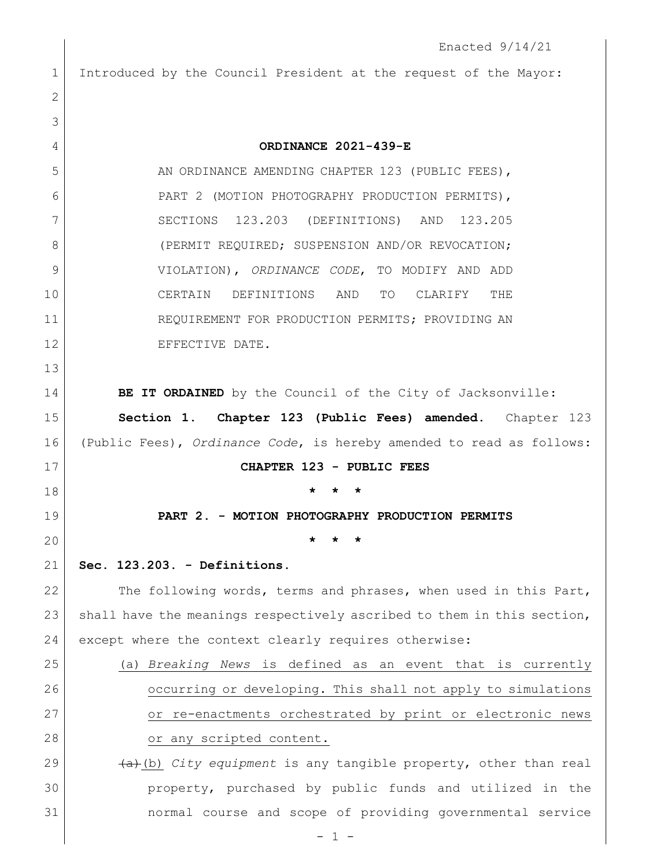1 Introduced by the Council President at the request of the Mayor:

| $\mathbf{2}$ |                                                                                      |
|--------------|--------------------------------------------------------------------------------------|
| 3            |                                                                                      |
| 4            | ORDINANCE 2021-439-E                                                                 |
| 5            | AN ORDINANCE AMENDING CHAPTER 123 (PUBLIC FEES),                                     |
| 6            | PART 2 (MOTION PHOTOGRAPHY PRODUCTION PERMITS),                                      |
| 7            | SECTIONS 123.203 (DEFINITIONS) AND<br>123.205                                        |
| 8            | (PERMIT REQUIRED; SUSPENSION AND/OR REVOCATION;                                      |
| 9            | VIOLATION), ORDINANCE CODE, TO MODIFY AND ADD                                        |
| 10           | CERTAIN DEFINITIONS AND<br>TO<br>CLARIFY<br>THE                                      |
| 11           | REQUIREMENT FOR PRODUCTION PERMITS; PROVIDING AN                                     |
| 12           | EFFECTIVE DATE.                                                                      |
| 13           |                                                                                      |
| 14           | BE IT ORDAINED by the Council of the City of Jacksonville:                           |
| 15           | Section 1. Chapter 123 (Public Fees) amended. Chapter 123                            |
| 16           | (Public Fees), Ordinance Code, is hereby amended to read as follows:                 |
| 17           | CHAPTER 123 - PUBLIC FEES                                                            |
| 18           | $\star$<br>*                                                                         |
| 19           | PART 2. - MOTION PHOTOGRAPHY PRODUCTION PERMITS                                      |
| 20           |                                                                                      |
| 21           | Sec. 123.203. - Definitions.                                                         |
| 22           | The following words, terms and phrases, when used in this Part,                      |
| 23           | shall have the meanings respectively ascribed to them in this section,               |
| 24           | except where the context clearly requires otherwise:                                 |
| 25           | (a) Breaking News is defined as an event that is currently                           |
| 26           | occurring or developing. This shall not apply to simulations                         |
| 27           | or re-enactments orchestrated by print or electronic news                            |
| 28           | or any scripted content.                                                             |
| 29           | $\overline{(a)}$ (b) <i>City equipment</i> is any tangible property, other than real |
| 30           | property, purchased by public funds and utilized in the                              |
| 31           | normal course and scope of providing governmental service                            |
|              |                                                                                      |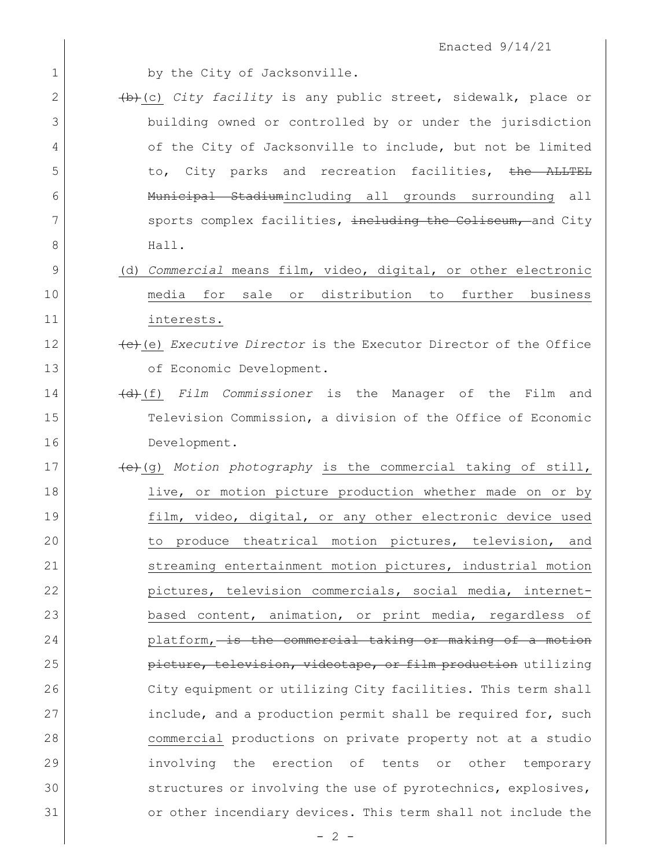| 1  | by the City of Jacksonville.                                    |
|----|-----------------------------------------------------------------|
| 2  | (b) (c) City facility is any public street, sidewalk, place or  |
| 3  | building owned or controlled by or under the jurisdiction       |
| 4  | of the City of Jacksonville to include, but not be limited      |
| 5  | to, City parks and recreation facilities, <del>the ALLTEL</del> |
| 6  | Municipal Stadiumincluding all grounds surrounding all          |
| 7  | sports complex facilities, including the Coliseum, and City     |
| 8  | Hall.                                                           |
| 9  | (d) Commercial means film, video, digital, or other electronic  |
| 10 | or distribution to further business<br>sale<br>media for        |
| 11 | interests.                                                      |
| 12 | (e) Executive Director is the Executor Director of the Office   |
| 13 | of Economic Development.                                        |
| 14 | (d) (f) Film Commissioner is the Manager of the Film and        |
| 15 | Television Commission, a division of the Office of Economic     |
| 16 | Development.                                                    |
| 17 | (e) (g) Motion photography is the commercial taking of still,   |
| 18 | live, or motion picture production whether made on or by        |
| 19 | film, video, digital, or any other electronic device used       |
| 20 | to produce theatrical motion pictures, television, and          |
| 21 | streaming entertainment motion pictures, industrial motion      |
| 22 | pictures, television commercials, social media, internet-       |
| 23 | based content, animation, or print media, regardless of         |
| 24 | platform, is the commercial taking or making of a motion        |
| 25 | picture, television, videotape, or film production utilizing    |
| 26 | City equipment or utilizing City facilities. This term shall    |
| 27 | include, and a production permit shall be required for, such    |
| 28 | commercial productions on private property not at a studio      |
| 29 | erection of tents or<br>involving the<br>other temporary        |
| 30 | structures or involving the use of pyrotechnics, explosives,    |
| 31 | or other incendiary devices. This term shall not include the    |
|    | $-2-$                                                           |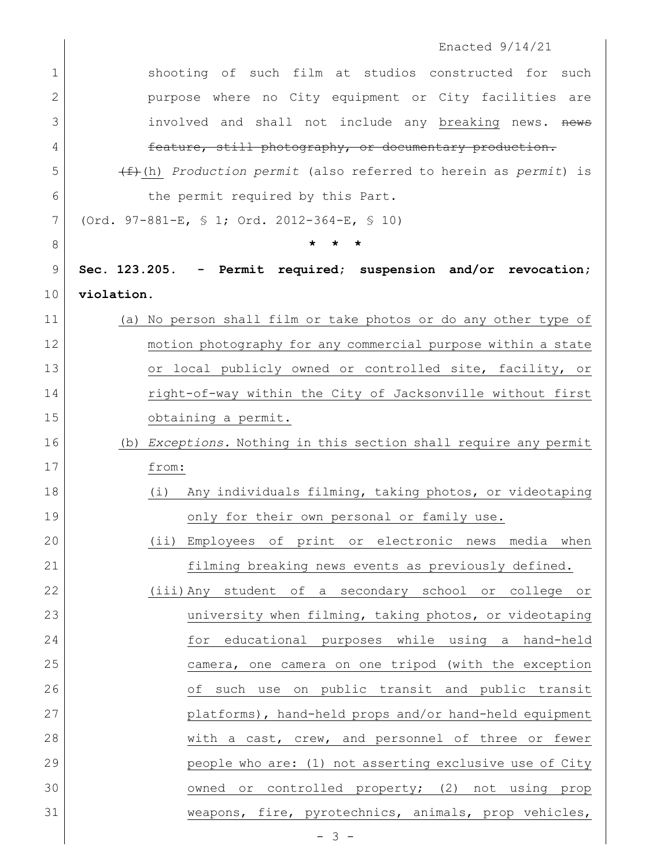|                | Enacted $9/14/21$                                                           |
|----------------|-----------------------------------------------------------------------------|
| $\mathbf 1$    | shooting of such film at studios constructed for such                       |
| 2              | purpose where no City equipment or City facilities are                      |
| 3              | involved and shall not include any breaking news. news                      |
| 4              | feature, still photography, or documentary production.                      |
| 5              | $\overline{f}$ (h) Production permit (also referred to herein as permit) is |
| 6              | the permit required by this Part.                                           |
| 7              | (Ord. 97-881-E, § 1; Ord. 2012-364-E, § 10)                                 |
| 8              |                                                                             |
| $\overline{9}$ | Sec. 123.205. - Permit required; suspension and/or revocation;              |
| 10             | violation.                                                                  |
| 11             | (a) No person shall film or take photos or do any other type of             |
| 12             | motion photography for any commercial purpose within a state                |
| 13             | or local publicly owned or controlled site, facility, or                    |
| 14             | right-of-way within the City of Jacksonville without first                  |
| 15             | obtaining a permit.                                                         |
| 16             | (b) Exceptions. Nothing in this section shall require any permit            |
| 17             | from:                                                                       |
| 18             | Any individuals filming, taking photos, or videotaping<br>(i)               |
| 19             | only for their own personal or family use.                                  |
| 20             | (ii) Employees of print or electronic news media when                       |
| 21             | filming breaking news events as previously defined.                         |
| 22             | (iii) Any student of a secondary school or college or                       |
| 23             | university when filming, taking photos, or videotaping                      |
| 24             | for educational purposes while using a hand-held                            |
| 25             | camera, one camera on one tripod (with the exception                        |
| 26             | of such use on public transit and public transit                            |
| 27             | platforms), hand-held props and/or hand-held equipment                      |
| 28             | with a cast, crew, and personnel of three or fewer                          |
| 29             | people who are: (1) not asserting exclusive use of City                     |
| 30             | owned or controlled property; (2) not using prop                            |
| 31             | weapons, fire, pyrotechnics, animals, prop vehicles,                        |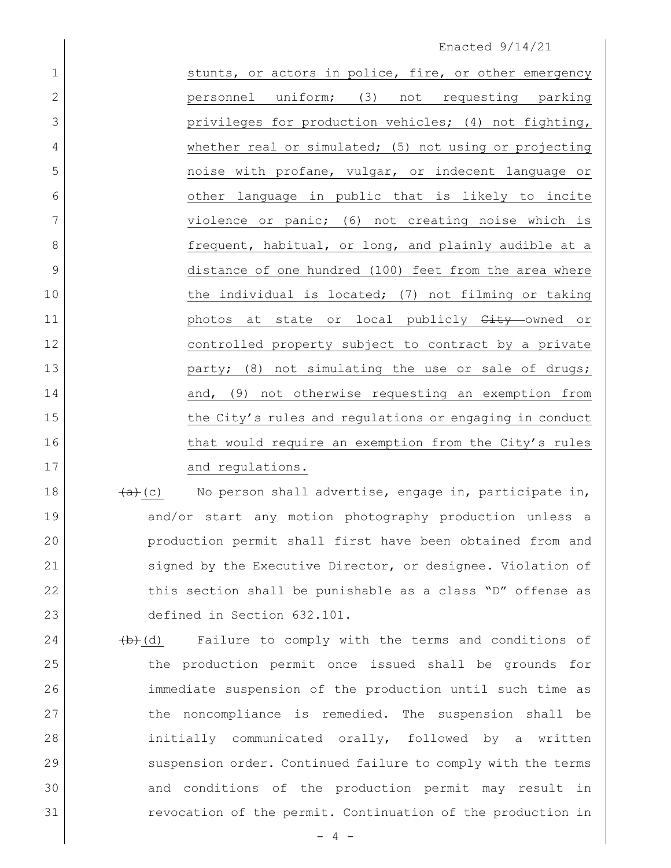## Enacted 9/14/21

| $\mathbf 1$    | stunts, or actors in police, fire, or other emergency   |
|----------------|---------------------------------------------------------|
| $\overline{2}$ | uniform; (3)<br>not requesting parking<br>personnel     |
| 3              | privileges for production vehicles; (4) not fighting,   |
| 4              | whether real or simulated; (5) not using or projecting  |
| 5              | noise with profane, vulgar, or indecent language or     |
| 6              | other language in public that is likely to incite       |
| 7              | violence or panic; (6) not creating noise which is      |
| 8              | frequent, habitual, or long, and plainly audible at a   |
| 9              | distance of one hundred (100) feet from the area where  |
| 10             | the individual is located; (7) not filming or taking    |
| 11             | photos at state or local publicly City owned or         |
| 12             | controlled property subject to contract by a private    |
| 13             | party; (8) not simulating the use or sale of drugs;     |
| 14             | and, (9) not otherwise requesting an exemption from     |
| 15             | the City's rules and regulations or engaging in conduct |
| 16             | that would require an exemption from the City's rules   |
| 17             | and regulations.                                        |

 $\left( \frac{a}{a}(c) \right)$  No person shall advertise, engage in, participate in, and/or start any motion photography production unless a production permit shall first have been obtained from and signed by the Executive Director, or designee. Violation of 22 this section shall be punishable as a class "D" offense as defined in Section 632.101.

 (b)(d) Failure to comply with the terms and conditions of the production permit once issued shall be grounds for immediate suspension of the production until such time as the noncompliance is remedied. The suspension shall be 28 initially communicated orally, followed by a written suspension order. Continued failure to comply with the terms and conditions of the production permit may result in revocation of the permit. Continuation of the production in